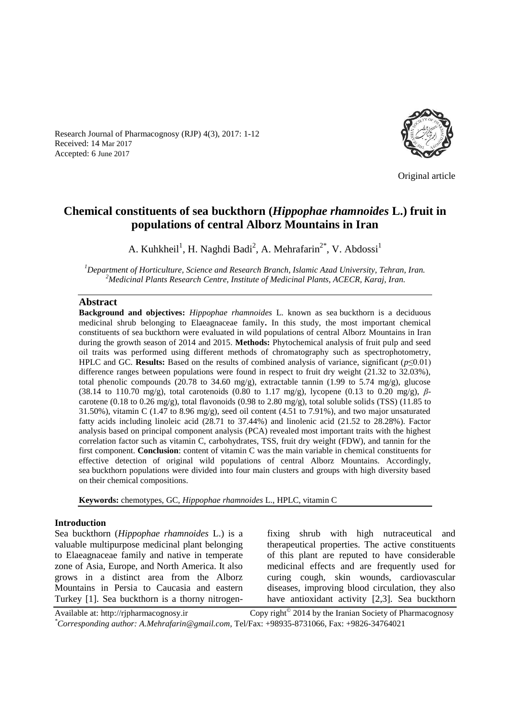Research Journal of Pharmacognosy (RJP) 4(3), 2017: 1-12 Received: 14 Mar 2017 Accepted: 6 June 2017



Original article

# **Chemical constituents of sea buckthorn (***Hippophae rhamnoides* **L.) fruit in populations of central Alborz Mountains in Iran**

A. Kuhkheil<sup>1</sup>, H. Naghdi Badi<sup>2</sup>, A. Mehrafarin<sup>2\*</sup>, V. Abdossi<sup>1</sup>

*<sup>1</sup>Department of Horticulture, Science and Research Branch, Islamic Azad University, Tehran, Iran. <sup>2</sup>Medicinal Plants Research Centre, Institute of Medicinal Plants, ACECR, Karaj, Iran.*

#### **Abstract**

**Background and objectives:** *Hippophae rhamnoides* L. known as sea buckthorn is a deciduous medicinal shrub belonging to Elaeagnaceae family**.** In this study, the most important chemical constituents of sea buckthorn were evaluated in wild populations of central Alborz Mountains in Iran during the growth season of 2014 and 2015. **Methods:** Phytochemical analysis of fruit pulp and seed oil traits was performed using different methods of chromatography such as spectrophotometry, HPLC and GC. **Results:** Based on the results of combined analysis of variance, significant (*p*≤0.01) difference ranges between populations were found in respect to fruit dry weight (21.32 to 32.03%), total phenolic compounds (20.78 to 34.60 mg/g), extractable tannin (1.99 to 5.74 mg/g), glucose (38.14 to 110.70 mg/g), total carotenoids (0.80 to 1.17 mg/g), lycopene (0.13 to 0.20 mg/g), *β*carotene (0.18 to 0.26 mg/g), total flavonoids (0.98 to 2.80 mg/g), total soluble solids (TSS) (11.85 to 31.50%), vitamin C (1.47 to 8.96 mg/g), seed oil content (4.51 to 7.91%), and two major unsaturated fatty acids including linoleic acid (28.71 to 37.44%) and linolenic acid (21.52 to 28.28%). Factor analysis based on principal component analysis (PCA) revealed most important traits with the highest correlation factor such as vitamin C, carbohydrates, TSS, fruit dry weight (FDW), and tannin for the first component. **Conclusion**: content of vitamin C was the main variable in chemical constituents for effective detection of original wild populations of central Alborz Mountains. Accordingly, sea buckthorn populations were divided into four main clusters and groups with high diversity based on their chemical compositions.

**Keywords:** chemotypes, GC, *Hippophae rhamnoides* L., HPLC, vitamin C

#### **Introduction**

Sea buckthorn (*Hippophae rhamnoides* L.) is a valuable multipurpose medicinal plant belonging to Elaeagnaceae family and native in temperate zone of Asia, Europe, and North America. It also grows in a distinct area from the Alborz Mountains in Persia to Caucasia and eastern Turkey [1]. Sea buckthorn is a thorny nitrogenfixing shrub with high nutraceutical and therapeutical properties. The active constituents of this plant are reputed to have considerable medicinal effects and are frequently used for curing cough, skin wounds, cardiovascular diseases, improving blood circulation, they also have antioxidant activity [2,3]. Sea buckthorn

Available at: http://rjpharmacognosy.ir Copy right $^{\circ}$  2014 by the Iranian Society of Pharmacognosy *\*Corresponding author: A.Mehrafarin@gmail.com,* Tel/Fax: +98935-8731066, Fax: +9826-34764021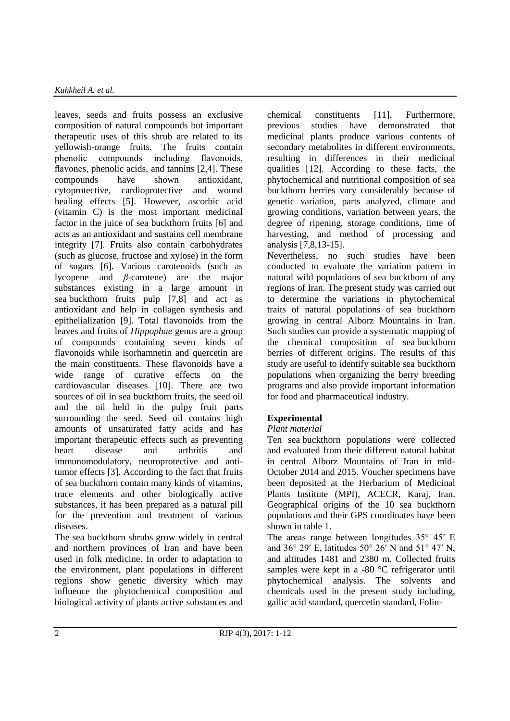leaves, seeds and fruits possess an exclusive composition of natural compounds but important therapeutic uses of this shrub are related to its yellowish-orange fruits. The fruits contain phenolic compounds including flavonoids, flavones, phenolic acids, and tannins [2,4]. These compounds have shown antioxidant, cytoprotective, cardioprotective and wound healing effects [5]. However, ascorbic acid (vitamin C) is the most important medicinal factor in the juice of sea buckthorn fruits [6] and acts as an antioxidant and sustains cell membrane integrity [7]. Fruits also contain carbohydrates (such as glucose, fructose and xylose) in the form of sugars [6]. Various carotenoids (such as lycopene and *β*-carotene) are the major substances existing in a large amount in sea buckthorn fruits pulp [7,8] and act as antioxidant and help in collagen synthesis and epithelialization [9]. Total flavonoids from the leaves and fruits of *Hippophae* genus are a group of compounds containing seven kinds of flavonoids while isorhamnetin and quercetin are the main constituents. These flavonoids have a wide range of curative effects on the cardiovascular diseases [10]. There are two sources of oil in sea buckthorn fruits, the seed oil and the oil held in the pulpy fruit parts surrounding the seed. Seed oil contains high amounts of unsaturated fatty acids and has important therapeutic effects such as preventing heart disease and arthritis and immunomodulatory, neuroprotective and antitumor effects [3]. According to the fact that fruits of sea buckthorn contain many kinds of vitamins, trace elements and other biologically active substances, it has been prepared as a natural pill for the prevention and treatment of various diseases.

The sea buckthorn shrubs grow widely in central and northern provinces of Iran and have been used in folk medicine. In order to adaptation to the environment, plant populations in different regions show genetic diversity which may influence the phytochemical composition and biological activity of plants active substances and chemical constituents [11]. Furthermore, previous studies have demonstrated that medicinal plants produce various contents of secondary metabolites in different environments, resulting in differences in their medicinal qualities [12]. According to these facts, the phytochemical and nutritional composition of sea buckthorn berries vary considerably because of genetic variation, parts analyzed, climate and growing conditions, variation between years, the degree of ripening, storage conditions, time of harvesting, and method of processing and analysis [7,8,13-15].

Nevertheless, no such studies have been conducted to evaluate the variation pattern in natural wild populations of sea buckthorn of any regions of Iran. The present study was carried out to determine the variations in phytochemical traits of natural populations of sea buckthorn growing in central Alborz Mountains in Iran. Such studies can provide a systematic mapping of the chemical composition of sea buckthorn berries of different origins. The results of this study are useful to identify suitable sea buckthorn populations when organizing the berry breeding programs and also provide important information for food and pharmaceutical industry.

# **Experimental**

# *Plant material*

Ten sea buckthorn populations were collected and evaluated from their different natural habitat in central Alborz Mountains of Iran in mid-October 2014 and 2015. Voucher specimens have been deposited at the Herbarium of Medicinal Plants Institute (MPI), ACECR, Karaj, Iran. Geographical origins of the 10 sea buckthorn populations and their GPS coordinates have been shown in table 1.

The areas range between longitudes 35° 45′ E and 36° 29′ E, latitudes 50° 26′ N and 51° 47′ N, and altitudes 1481 and 2380 m. Collected fruits samples were kept in a -80 °C refrigerator until phytochemical analysis. The solvents and chemicals used in the present study including, gallic acid standard, quercetin standard, Folin-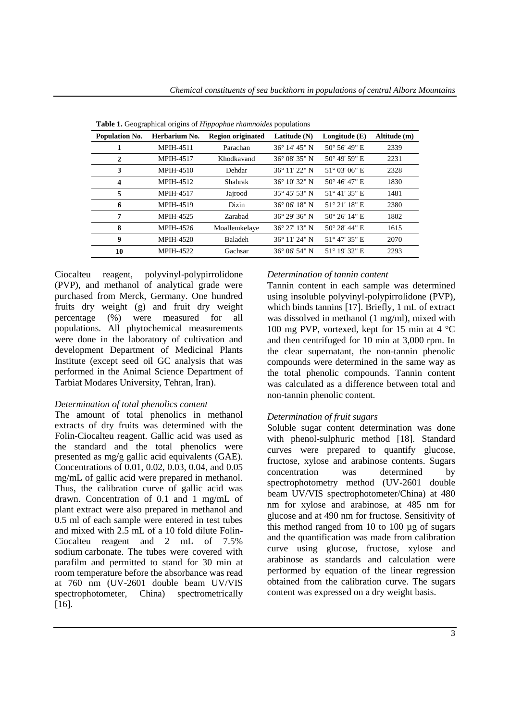| <b>rapic 1.</b> Ocographical origins of <i>httppophae mammotaes</i> populations |                  |                          |                        |                        |              |  |  |  |  |  |  |  |
|---------------------------------------------------------------------------------|------------------|--------------------------|------------------------|------------------------|--------------|--|--|--|--|--|--|--|
| Population No.                                                                  | Herbarium No.    | <b>Region originated</b> | Latitude $(N)$         | Longitude $(E)$        | Altitude (m) |  |  |  |  |  |  |  |
| 1                                                                               | <b>MPIH-4511</b> | Parachan                 | $36^{\circ}$ 14' 45" N | $50^{\circ}$ 56' 49" E | 2339         |  |  |  |  |  |  |  |
| $\mathbf{2}$                                                                    | <b>MPIH-4517</b> | Khodkavand               | 36° 08′ 35″ N          | $50^{\circ}$ 49' 59" E | 2231         |  |  |  |  |  |  |  |
| 3                                                                               | <b>MPIH-4510</b> | Dehdar                   | 36° 11′ 22″ N          | $51^{\circ}$ 03' 06" E | 2328         |  |  |  |  |  |  |  |
| $\overline{\mathbf{4}}$                                                         | <b>MPIH-4512</b> | Shahrak                  | $36^{\circ}$ 10' 32" N | $50^{\circ}$ 46' 47" E | 1830         |  |  |  |  |  |  |  |
| 5                                                                               | <b>MPIH-4517</b> | Jajrood                  | 35° 45′ 53″ N          | $51^{\circ}$ 41' 35" E | 1481         |  |  |  |  |  |  |  |
| 6                                                                               | <b>MPIH-4519</b> | Dizin                    | $36^{\circ}$ 06' 18" N | 51° 21′ 18″ E          | 2380         |  |  |  |  |  |  |  |
| 7                                                                               | MPIH-4525        | Zarabad                  | 36° 29′ 36″ N          | $50^{\circ}$ 26' 14" E | 1802         |  |  |  |  |  |  |  |
| 8                                                                               | MPIH-4526        | Moallemkelaye            | $36^{\circ}$ 27' 13" N | $50^{\circ}$ 28' 44" E | 1615         |  |  |  |  |  |  |  |
| 9                                                                               | <b>MPIH-4520</b> | Baladeh                  | 36° 11′ 24″ N          | $51^{\circ}$ 47' 35" E | 2070         |  |  |  |  |  |  |  |
| 10                                                                              | <b>MPIH-4522</b> | Gachsar                  | $36^{\circ}$ 06' 54" N | $51^{\circ}$ 19' 32" E | 2293         |  |  |  |  |  |  |  |

**Table 1.** Geographical origins of *Hippophae rhamnoides* populations

Ciocalteu reagent, polyvinyl-polypirrolidone (PVP), and methanol of analytical grade were purchased from Merck, Germany. One hundred fruits dry weight (g) and fruit dry weight percentage (%) were measured for all populations. All phytochemical measurements were done in the laboratory of cultivation and development Department of Medicinal Plants Institute (except seed oil GC analysis that was performed in the Animal Science Department of Tarbiat Modares University, Tehran, Iran).

### *Determination of total phenolics content*

The amount of total phenolics in methanol extracts of dry fruits was determined with the Folin-Ciocalteu reagent. Gallic acid was used as the standard and the total phenolics were presented as mg/g gallic acid equivalents (GAE). Concentrations of 0.01, 0.02, 0.03, 0.04, and 0.05 mg/mL of gallic acid were prepared in methanol. Thus, the calibration curve of gallic acid was drawn. Concentration of 0.1 and 1 mg/mL of plant extract were also prepared in methanol and 0.5 ml of each sample were entered in test tubes and mixed with 2.5 mL of a 10 fold dilute Folin-Ciocalteu reagent and 2 mL of 7.5% sodium carbonate. The tubes were covered with parafilm and permitted to stand for 30 min at room temperature before the absorbance was read at 760 nm (UV-2601 double beam UV/VIS spectrophotometer, China) spectrometrically  $[16]$ .

#### *Determination of tannin content*

Tannin content in each sample was determined using insoluble polyvinyl-polypirrolidone (PVP), which binds tannins [17]. Briefly, 1 mL of extract was dissolved in methanol (1 mg/ml), mixed with 100 mg PVP, vortexed, kept for 15 min at 4 °C and then centrifuged for 10 min at 3,000 rpm. In the clear supernatant, the non-tannin phenolic compounds were determined in the same way as the total phenolic compounds. Tannin content was calculated as a difference between total and non-tannin phenolic content.

### *Determination of fruit sugars*

Soluble sugar content determination was done with phenol-sulphuric method [18]. Standard curves were prepared to quantify glucose, fructose, xylose and arabinose contents. Sugars concentration was determined by spectrophotometry method (UV-2601 double beam UV/VIS spectrophotometer/China) at 480 nm for xylose and arabinose, at 485 nm for glucose and at 490 nm for fructose. Sensitivity of this method ranged from 10 to 100 µg of sugars and the quantification was made from calibration curve using glucose, fructose, xylose and arabinose as standards and calculation were performed by equation of the linear regression obtained from the calibration curve. The sugars content was expressed on a dry weight basis.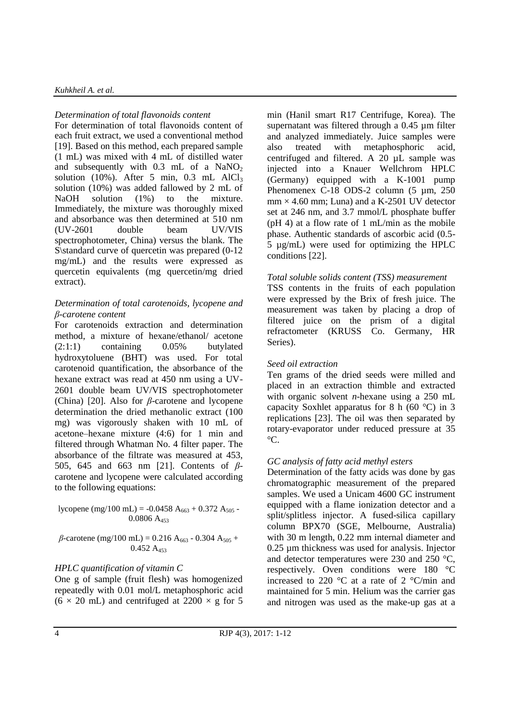#### *Kuhkheil A. et al.*

## *Determination of total flavonoids content*

For determination of total flavonoids content of each fruit extract, we used a conventional method [19]. Based on this method, each prepared sample (1 mL) was mixed with 4 mL of distilled water and subsequently with  $0.3$  mL of a  $NaNO<sub>2</sub>$ solution  $(10\%)$ . After 5 min, 0.3 mL AlCl<sub>3</sub> solution (10%) was added fallowed by 2 mL of NaOH solution (1%) to the mixture. Immediately, the mixture was thoroughly mixed and absorbance was then determined at 510 nm (UV-2601 double beam UV/VIS spectrophotometer, China) versus the blank. The S\standard curve of quercetin was prepared  $(0-12)$ mg/mL) and the results were expressed as quercetin equivalents (mg quercetin/mg dried extract).

## *Determination of total carotenoids, lycopene and β-carotene content*

For carotenoids extraction and determination method, a mixture of hexane/ethanol/ acetone (2:1:1) containing 0.05% butylated hydroxytoluene (BHT) was used. For total carotenoid quantification, the absorbance of the hexane extract was read at 450 nm using a UV-2601 double beam UV/VIS spectrophotometer (China) [20]. Also for *β*-carotene and lycopene determination the dried methanolic extract (100 mg) was vigorously shaken with 10 mL of acetone–hexane mixture (4:6) for 1 min and filtered through Whatman No. 4 filter paper. The absorbance of the filtrate was measured at 453, 505, 645 and 663 nm [21]. Contents of *β*carotene and lycopene were calculated according to the following equations:

lycopene (mg/100 mL) = -0.0458 A<sub>663</sub> + 0.372 A<sub>505</sub> - $0.0806 A_{453}$ 

 $\beta$ -carotene (mg/100 mL) = 0.216 A<sub>663</sub> - 0.304 A<sub>505</sub> +  $0.452 A<sub>453</sub>$ 

# *HPLC quantification of vitamin C*

One g of sample (fruit flesh) was homogenized repeatedly with 0.01 mol/L metaphosphoric acid  $(6 \times 20 \text{ mL})$  and centrifuged at  $2200 \times g$  for 5 min (Hanil smart R17 Centrifuge, Korea). The supernatant was filtered through a 0.45 µm filter and analyzed immediately. Juice samples were also treated with metaphosphoric acid, centrifuged and filtered. A 20 µL sample was injected into a Knauer Wellchrom HPLC (Germany) equipped with a K-1001 pump Phenomenex C-18 ODS-2 column (5 µm, 250)  $mm \times 4.60$  mm; Luna) and a K-2501 UV detector set at 246 nm, and 3.7 mmol/L phosphate buffer (pH 4) at a flow rate of 1 mL/min as the mobile phase. Authentic standards of ascorbic acid (0.5- 5 µg/mL) were used for optimizing the HPLC conditions [22].

## *Total soluble solids content (TSS) measurement*

TSS contents in the fruits of each population were expressed by the Brix of fresh juice. The measurement was taken by placing a drop of filtered juice on the prism of a digital refractometer (KRUSS Co. Germany, HR Series).

## *Seed oil extraction*

Ten grams of the dried seeds were milled and placed in an extraction thimble and extracted with organic solvent *n*-hexane using a 250 mL capacity Soxhlet apparatus for 8 h (60 °C) in 3 replications [23]. The oil was then separated by rotary-evaporator under reduced pressure at 35  $^{\circ}C$ .

### *GC analysis of fatty acid methyl esters*

Determination of the fatty acids was done by gas chromatographic measurement of the prepared samples. We used a Unicam 4600 GC instrument equipped with a flame ionization detector and a split/splitless injector. A fused-silica capillary column BPX70 (SGE, Melbourne, Australia) with 30 m length, 0.22 mm internal diameter and 0.25 µm thickness was used for analysis. Injector and detector temperatures were 230 and 250 °C, respectively. Oven conditions were 180 °C increased to 220 °C at a rate of 2 °C/min and maintained for 5 min. Helium was the carrier gas and nitrogen was used as the make-up gas at a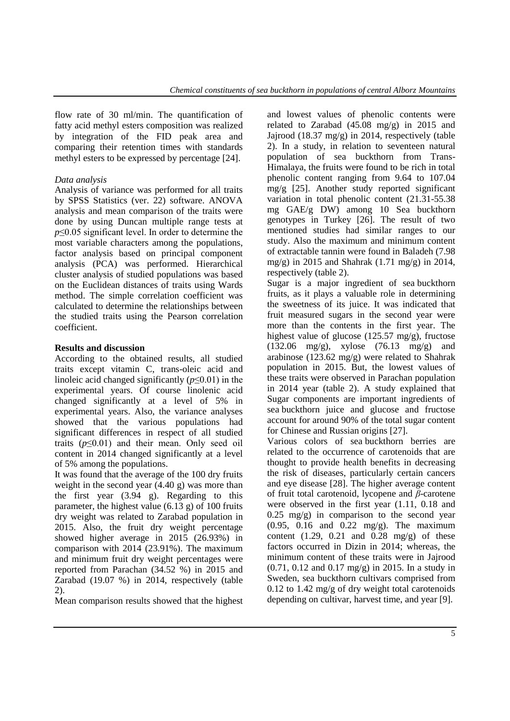flow rate of 30 ml/min. The quantification of fatty acid methyl esters composition was realized by integration of the FID peak area and comparing their retention times with standards methyl esters to be expressed by percentage [24].

# *Data analysis*

Analysis of variance was performed for all traits by SPSS Statistics (ver. 22) software. ANOVA analysis and mean comparison of the traits were done by using Duncan multiple range tests at *p*≤0.05 significant level. In order to determine the most variable characters among the populations, factor analysis based on principal component analysis (PCA) was performed. Hierarchical cluster analysis of studied populations was based on the Euclidean distances of traits using Wards method. The simple correlation coefficient was calculated to determine the relationships between the studied traits using the Pearson correlation coefficient.

# **Results and discussion**

According to the obtained results, all studied traits except vitamin C, trans-oleic acid and linoleic acid changed significantly (*p*≤0.01) in the experimental years. Of course linolenic acid changed significantly at a level of 5% in experimental years. Also, the variance analyses showed that the various populations had significant differences in respect of all studied traits  $(p \le 0.01)$  and their mean. Only seed oil content in 2014 changed significantly at a level of 5% among the populations.

It was found that the average of the 100 dry fruits weight in the second year (4.40 g) was more than the first year (3.94 g). Regarding to this parameter, the highest value (6.13 g) of 100 fruits dry weight was related to Zarabad population in 2015. Also, the fruit dry weight percentage showed higher average in 2015 (26.93%) in comparison with 2014 (23.91%). The maximum and minimum fruit dry weight percentages were reported from Parachan (34.52 %) in 2015 and Zarabad (19.07 %) in 2014, respectively (table 2).

Mean comparison results showed that the highest

and lowest values of phenolic contents were related to Zarabad (45.08 mg/g) in 2015 and Jajrood (18.37 mg/g) in 2014, respectively (table 2). In a study, in relation to seventeen natural population of sea buckthorn from Trans-Himalaya, the fruits were found to be rich in total phenolic content ranging from 9.64 to 107.04 mg/g [25]. Another study reported significant variation in total phenolic content (21.31-55.38 mg GAE/g DW) among 10 Sea buckthorn genotypes in Turkey [26]. The result of two mentioned studies had similar ranges to our study. Also the maximum and minimum content of extractable tannin were found in Baladeh (7.98 mg/g) in 2015 and Shahrak  $(1.71 \text{ mg/g})$  in 2014, respectively (table 2).

Sugar is a major ingredient of sea buckthorn fruits, as it plays a valuable role in determining the sweetness of its juice. It was indicated that fruit measured sugars in the second year were more than the contents in the first year. The highest value of glucose (125.57 mg/g), fructose (132.06 mg/g), xylose (76.13 mg/g) and arabinose (123.62 mg/g) were related to Shahrak population in 2015. But, the lowest values of these traits were observed in Parachan population in 2014 year (table 2). A study explained that Sugar components are important ingredients of sea buckthorn juice and glucose and fructose account for around 90% of the total sugar content for Chinese and Russian origins [27].

Various colors of sea buckthorn berries are related to the occurrence of carotenoids that are thought to provide health benefits in decreasing the risk of diseases, particularly certain cancers and eye disease [28]. The higher average content of fruit total carotenoid, lycopene and *β*-carotene were observed in the first year (1.11, 0.18 and 0.25 mg/g) in comparison to the second year (0.95, 0.16 and 0.22 mg/g). The maximum content  $(1.29, 0.21$  and  $(0.28 \text{ mg/g})$  of these factors occurred in Dizin in 2014; whereas, the minimum content of these traits were in Jajrood (0.71, 0.12 and 0.17 mg/g) in 2015. In a study in Sweden, sea buckthorn cultivars comprised from 0.12 to 1.42 mg/g of dry weight total carotenoids depending on cultivar, harvest time, and year [9].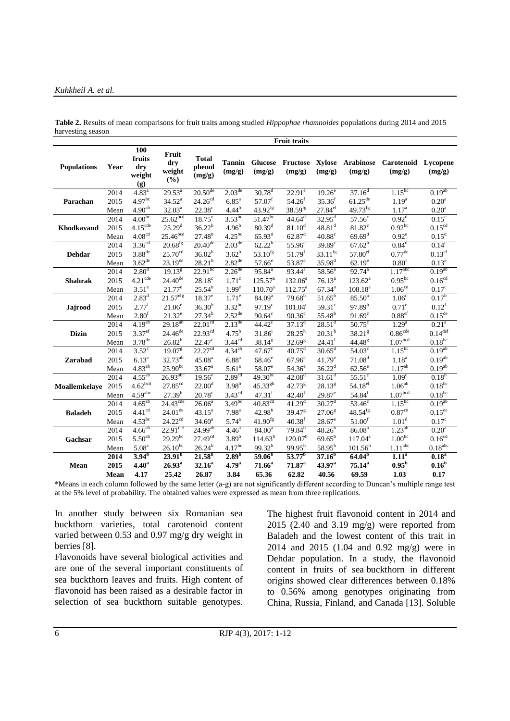#### *Kuhkheil A. et al.*

|                    |             |                                       |                               |                                  |                         |                          | <b>Fruit traits</b>  |                       |                            |                               |                     |
|--------------------|-------------|---------------------------------------|-------------------------------|----------------------------------|-------------------------|--------------------------|----------------------|-----------------------|----------------------------|-------------------------------|---------------------|
| <b>Populations</b> | Year        | 100<br>fruits<br>dry<br>weight<br>(g) | Fruit<br>dry<br>weight<br>(%) | <b>Total</b><br>phenol<br>(mg/g) | <b>Tannin</b><br>(mg/g) | <b>Glucose</b><br>(mg/g) | Fructose<br>(mg/g)   | Xylose<br>(mg/g)      | <b>Arabinose</b><br>(mg/g) | Carotenoid Lycopene<br>(mg/g) | (mg/g)              |
|                    | 2014        | $4.83^{a}$                            | $29.53^a$                     | $20.50^{\text{de}}$              | $2.03^{\text{de}}$      | $30.78^{d}$              | $22.91^e$            | 19.26 <sup>e</sup>    | 37.16 <sup>d</sup>         | $1.15^{bc}$                   | $0.19^{ab}$         |
| Parachan           | 2015        | $4.97^{bc}$                           | $34.52^a$                     | 24.26 <sup>cd</sup>              | $6.85$ <sup>a</sup>     | $57.07^f$                | $54.26^{f}$          | $35.36^{f}$           | $61.25^{\rm de}$           | $1.19^{a}$                    | 0.20 <sup>a</sup>   |
|                    | Mean        | $4.90^{\rm ab}$                       | $32.03^{\rm a}$               | $22.38^{\circ}$                  | $4.44^{b}$              | 43.92 <sup>fg</sup>      | $38.59^{fg}$         | $27.84^{\rm ef}$      | $49.73^{fg}$               | $1.17^{a}$                    | 0.20 <sup>a</sup>   |
|                    | 2014        | 4.00 <sup>bc</sup>                    | $25.62$ <sub>bcd</sub>        | $18.75$ <sup>e</sup>             | $3.53^{bc}$             | $51.47^{bc}$             | $44.64^d$            | $32.95^{\text{d}}$    | $57.56^c$                  | 0.92 <sup>d</sup>             | $0.15^{\circ}$      |
| Khodkavand         | 2015        | $4.15^{\text{cde}}$                   | $25.29^{d}$                   | $36.22^{b}$                      | 4.96 <sup>b</sup>       | $80.39^{d}$              | $81.10^d$            | $48.81$ <sup>d</sup>  | $81.82^c$                  | $0.92^{bc}$                   | $0.15^{\text{cd}}$  |
|                    | Mean        | 4.08 <sup>cd</sup>                    | 25.46 <sup>bcd</sup>          | $27.48^{b}$                      | $4.25^{\rm bc}$         | $65.93^{d}$              | $62.87$ <sup>d</sup> | $40.88^{\rm c}$       | $69.69$ <sup>d</sup>       | $0.92^e$                      | $0.15^d$            |
| Dehdar             | 2014        | 3.36 <sup>cd</sup>                    | $20.68^{fg}$                  | $20.40^{de}$                     | $2.03^{de}$             | $62.22^{b}$              | $55.\overline{96}$   | $39.89^\circ$         | $67.62^{b}$                | $0.84^d$                      | $0.14^c$            |
|                    | 2015        | $3.88$ <sup>de</sup>                  | 25.70 <sup>cd</sup>           | 36.02 <sup>b</sup>               | $3.62^{b}$              | $53.10^{fg}$             | 51.79 <sup>f</sup>   | $33.11$ <sup>fg</sup> | $57.80$ <sup>ef</sup>      | $0.77$ <sup>de</sup>          | 0.13 <sup>ef</sup>  |
|                    | Mean        | $3.62$ <sup>de</sup>                  | $23.19^{de}$                  | $28.21^{b}$                      | $2.82^{\text{de}}$      | $57.66^e$                | $53.87^e$            | $35.98^{d}$           | $62.19^e$                  | 0.80 <sup>f</sup>             | $0.13^e$            |
| <b>Shahrak</b>     | 2014        | 2.80 <sup>d</sup>                     | $19.13^{8}$                   | $22.91^{bc}$                     | $2.26$ <sup>de</sup>    | $95.84^{a}$              | $93.44^a$            | $58.56^{a}$           | $92.74^{a}$                | 1.17 <sup>abc</sup>           | $0.19^{ab}$         |
|                    | 2015        | $4.21$ <sup>cde</sup>                 | $24.40^{de}$                  | $28.18^{\circ}$                  | $1.71^\circ$            | $125.57^a$               | $132.06^a$           | $76.13^{a}$           | $123.62^a$                 | $0.95^{bc}$                   | 0.16 <sup>cd</sup>  |
|                    | Mean        | $3.51^e$                              | $21.77^e$                     | $25.54^{b}$                      | 1.99 <sup>e</sup>       | $110.70^a$               | $112.75^a$           | $67.34^{a}$           | $108.18^{a}$               | 1.06 <sup>cd</sup>            | $0.17^{\circ}$      |
| Jajrood            | 2014        | $2.83^d$                              | $21.57$ <sup>efg</sup>        | $18.37^e$                        | $1.71$ <sup>e</sup>     | 84.09 <sup>a</sup>       | $79.68^{b}$          | $51.65^b$             | $85.50^{\rm a}$            | 1.06 <sup>c</sup>             | $0.17^{b}$          |
|                    | 2015        | $2.77^f$                              | $21.06^e$                     | $36.30^{b}$                      | $3.32^{bc}$             | $97.19^{\circ}$          | $101.04^c$           | $59.31$ <sup>c</sup>  | 97.89 <sup>b</sup>         | $0.71^e$                      | $0.12^{\rm f}$      |
|                    | Mean        | 2.80 <sup>f</sup>                     | $21.32^{\rm e}$               | $27.34^{b}$                      | $2.52^{\text{de}}$      | $90.64^c$                | $90.36^{\circ}$      | 55.48 <sup>b</sup>    | $91.69^c$                  | 0.88 <sup>ef</sup>            | $0.15^{de}$         |
|                    | 2014        | 4.19 <sup>ab</sup>                    | $29.18^{ab}$                  | 22.01 <sup>cd</sup>              | $2.13^{de}$             | $44.42^{\circ}$          | $37.13^{d}$          | $28.51^{d}$           | 50.75                      | $1.29^{a}$                    | $0.21^{\rm a}$      |
| <b>Dizin</b>       | 2015        | $3.37$ <sup>ef</sup>                  | $24.46^{\text{de}}$           | $22.93^{\text{cd}}$              | $4.75^{b}$              | $31.86^{i}$              | $28.25^h$            | 20.31 <sup>h</sup>    | 38.21 <sup>g</sup>         | 0.86 <sup>cde</sup>           | 0.14 <sup>def</sup> |
|                    | Mean        | $3.78$ <sup>de</sup>                  | $26.82^{b}$                   | $22.47^{\circ}$                  | 3.44 <sup>cd</sup>      | $38.14^{8}$              | $32.69^{\rm g}$      | $24.41$ <sup>f</sup>  | 44.48 <sup>g</sup>         | 1.07 <sup>bcd</sup>           | $0.18^{bc}$         |
|                    | 2014        | $3.52^{\circ}$                        | 19.07 <sup>g</sup>            | 22.27 <sup>cd</sup>              | $4.34^{ab}$             | $47.67^{\circ}$          | $40.75$ <sup>d</sup> | $30.65^{\text{d}}$    | $54.03^{\circ}$            | $1.15^{bc}$                   | $0.19^{ab}$         |
| Zarabad            | 2015        | $6.13^{a}$                            | 32.73 <sup>ab</sup>           | $45.08^{a}$                      | 6.88 <sup>a</sup>       | $68.46^e$                | 67.96 <sup>e</sup>   | $41.79^e$             | 71.08 <sup>d</sup>         | $1.18^{a}$                    | $0.19^{ab}$         |
|                    | Mean        | $4.83^{ab}$                           | $25.90^{bc}$                  | $33.67^a$                        | 5.61 <sup>a</sup>       | $58.07^e$                | $54.36^e$            | $36.22^{\rm d}$       | $62.56^{\circ}$            | $1.17^{ab}$                   | $0.19^{ab}$         |
|                    | 2014        | $4.55^{ab}$                           | $26.93$ <sup>abc</sup>        | $19.56^e$                        | 2.89 <sup>cd</sup>      | $49.30^{bc}$             | 42.08 <sup>d</sup>   | $31.61$ <sup>d</sup>  | $55.51^\circ$              | 1.09 <sup>c</sup>             | $0.18^{b}$          |
| Moallemkelaye      | 2015        | 4.62 <sup>bcd</sup>                   | $27.85^{cd}$                  | 22.00 <sup>d</sup>               | 3.98 <sup>b</sup>       | $45.33^{gh}$             | 42.73 <sup>g</sup>   | $28.13^{8}$           | $54.18^{ef}$               | $1.06^{ab}$                   | $0.18^{bc}$         |
|                    | Mean        | 4.59 <sup>abc</sup>                   | $27.39^{b}$                   | $20.78^{\circ}$                  | $3.43^{\text{cd}}$      | 47.31 <sup>f</sup>       | 42.40 <sup>f</sup>   | $29.87^{\circ}$       | $54.84^f$                  | 1.07 <sup>bcd</sup>           | $0.18^{bc}$         |
|                    | 2014        | $4.65^{ab}$                           | $24.43$ <sup>cde</sup>        | $26.06^a$                        | $3.49^{bc}$             | $40.83^{\text{cd}}$      | 41.29 <sup>d</sup>   | $30.27$ <sup>d</sup>  | $53.46^\circ$              | $1.15^{bc}$                   | $0.19^{ab}$         |
| <b>Baladeh</b>     | 2015        | 4.41 <sup>cd</sup>                    | $24.01$ <sup>de</sup>         | $43.15^a$                        | 7.98 <sup>a</sup>       | 42.98 <sup>h</sup>       | $39.47^{8}$          | 27.06 <sup>g</sup>    | $48.54^{fg}$               | 0.87 <sup>cd</sup>            | $0.15^{\text{de}}$  |
|                    | Mean        | $4.53^{bc}$                           | $24.22^{cd}$                  | $34.60^a$                        | $5.74^{a}$              | $41.90^{fg}$             | 40.38 <sup>f</sup>   | $28.67^{\rm e}$       | 51.00 <sup>f</sup>         | 1.01 <sup>d</sup>             | $0.17^c$            |
|                    | 2014        | $4.66^{ab}$                           | $22.91$ <sup>def</sup>        | $24.99^{ab}$                     | 4.46 <sup>a</sup>       | $84.00^{\circ}$          | 79.84 <sup>b</sup>   | $48.26^{b}$           | 86.08 <sup>a</sup>         | $1.23^{ab}$                   | 0.20 <sup>a</sup>   |
| Gachsar            | 2015        | $5.50^{ab}$                           | $29.29^{bc}$                  | $27.49^{cd}$                     | 3.89 <sup>b</sup>       | $114.63^{b}$             | $120.07^{\rm b}$     | $69.65^{b}$           | $117.04^a$                 | $1.00^{bc}$                   | 0.16 <sup>cd</sup>  |
|                    | Mean        | 5.08 <sup>a</sup>                     | $26.10^{bc}$                  | $26.24^{b}$                      | $4.17^{bc}$             | $99.32^{b}$              | $99.95^{b}$          | $58.95^{b}$           | $101.56^b$                 | $1.11^{\rm abc}$              | $0.18^{abc}$        |
|                    | 2014        | 3.94 <sup>b</sup>                     | $23.91^{b}$                   | $21.58^{b}$                      | 2.89 <sup>b</sup>       | 59.06 <sup>b</sup>       | $53.77^{b}$          | $37.16^{b}$           | $64.04^{b}$                | 1.11 <sup>a</sup>             | 0.18 <sup>a</sup>   |
| Mean               | 2015        | 4.40 <sup>a</sup>                     | $26.93^{\rm a}$               | $32.16^a$                        | 4.79 <sup>a</sup>       | $71.66^a$                | 71.87 <sup>a</sup>   | 43.97 <sup>a</sup>    | $75.14^a$                  | 0.95 <sup>b</sup>             | 0.16 <sup>b</sup>   |
|                    | <b>Mean</b> | 4.17                                  | 25.42                         | 26.87                            | 3.84                    | 65.36                    | 62.82                | 40.56                 | 69.59                      | 1.03                          | 0.17                |

**Table 2.** Results of mean comparisons for fruit traits among studied *Hippophae rhamnoides* populations during 2014 and 2015 harvesting season

\*Means in each column followed by the same letter (a-g) are not significantly different according to Duncan's multiple range test at the 5% level of probability. The obtained values were expressed as mean from three replications.

In another study between six Romanian sea buckthorn varieties, total carotenoid content varied between 0.53 and 0.97 mg/g dry weight in berries [8].

Flavonoids have several biological activities and are one of the several important constituents of sea buckthorn leaves and fruits. High content of flavonoid has been raised as a desirable factor in selection of sea buckthorn suitable genotypes. The highest fruit flavonoid content in 2014 and 2015 (2.40 and 3.19 mg/g) were reported from Baladeh and the lowest content of this trait in 2014 and 2015 (1.04 and 0.92 mg/g) were in Dehdar population. In a study, the flavonoid content in fruits of sea buckthorn in different origins showed clear differences between 0.18% to 0.56% among genotypes originating from China, Russia, Finland, and Canada [13]. Soluble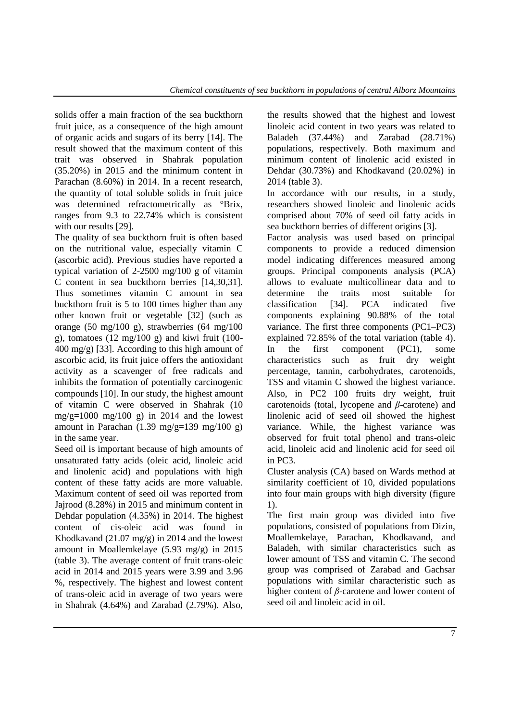solids offer a main fraction of the sea buckthorn fruit juice, as a consequence of the high amount of organic acids and sugars of its berry [14]. The result showed that the maximum content of this trait was observed in Shahrak population (35.20%) in 2015 and the minimum content in Parachan (8.60%) in 2014. In a recent research, the quantity of total soluble solids in fruit juice was determined refractometrically as <sup>o</sup>Brix, ranges from 9.3 to 22.74% which is consistent with our results [29].

The quality of sea buckthorn fruit is often based on the nutritional value, especially vitamin C (ascorbic acid). Previous studies have reported a typical variation of 2-2500 mg/100 g of vitamin C content in sea buckthorn berries [14,30,31]. Thus sometimes vitamin C amount in sea buckthorn fruit is 5 to 100 times higher than any other known fruit or vegetable [32] (such as orange (50 mg/100 g), strawberries (64 mg/100 g), tomatoes  $(12 \text{ mg}/100 \text{ g})$  and kiwi fruit  $(100 -$ 400 mg/g) [33]. According to this high amount of ascorbic acid, its fruit juice offers the antioxidant activity as a scavenger of free radicals and inhibits the formation of potentially carcinogenic compounds [10]. In our study, the highest amount of vitamin C were observed in Shahrak (10 mg/g=1000 mg/100 g) in 2014 and the lowest amount in Parachan  $(1.39 \text{ mg/g}=139 \text{ mg}/100 \text{ g})$ in the same year.

Seed oil is important because of high amounts of unsaturated fatty acids (oleic acid, linoleic acid and linolenic acid) and populations with high content of these fatty acids are more valuable. Maximum content of seed oil was reported from Jajrood (8.28%) in 2015 and minimum content in Dehdar population (4.35%) in 2014. The highest content of cis-oleic acid was found in Khodkavand (21.07 mg/g) in 2014 and the lowest amount in Moallemkelaye (5.93 mg/g) in 2015 (table 3). The average content of fruit trans-oleic acid in 2014 and 2015 years were 3.99 and 3.96 %, respectively. The highest and lowest content of trans-oleic acid in average of two years were in Shahrak (4.64%) and Zarabad (2.79%). Also, the results showed that the highest and lowest linoleic acid content in two years was related to Baladeh (37.44%) and Zarabad (28.71%) populations, respectively. Both maximum and minimum content of linolenic acid existed in Dehdar (30.73%) and Khodkavand (20.02%) in 2014 (table 3).

In accordance with our results, in a study, researchers showed linoleic and linolenic acids comprised about 70% of seed oil fatty acids in sea buckthorn berries of different origins [3].

Factor analysis was used based on principal components to provide a reduced dimension model indicating differences measured among groups. Principal components analysis (PCA) allows to evaluate multicollinear data and to determine the traits most suitable for classification [34]. PCA indicated five components explaining 90.88% of the total variance. The first three components (PC1–PC3) explained 72.85% of the total variation (table 4). In the first component (PC1), some characteristics such as fruit dry weight percentage, tannin, carbohydrates, carotenoids, TSS and vitamin C showed the highest variance. Also, in PC2 100 fruits dry weight, fruit carotenoids (total, lycopene and *β*-carotene) and linolenic acid of seed oil showed the highest variance. While, the highest variance was observed for fruit total phenol and trans-oleic acid, linoleic acid and linolenic acid for seed oil in PC3.

Cluster analysis (CA) based on Wards method at similarity coefficient of 10, divided populations into four main groups with high diversity (figure 1).

The first main group was divided into five populations, consisted of populations from Dizin, Moallemkelaye, Parachan, Khodkavand, and Baladeh, with similar characteristics such as lower amount of TSS and vitamin C. The second group was comprised of Zarabad and Gachsar populations with similar characteristic such as higher content of *β*-carotene and lower content of seed oil and linoleic acid in oil.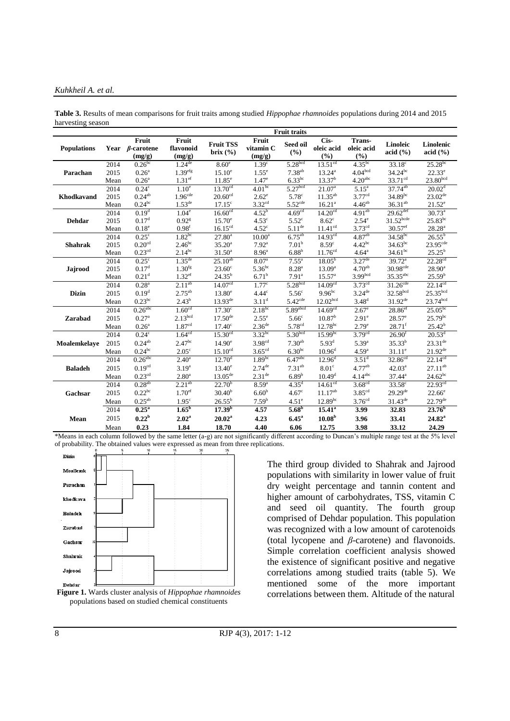#### *Kuhkheil A. et al.*

|                    |      |                                           |                              |                                  |                              | <b>Fruit traits</b>   |                           |                               |                        |                           |
|--------------------|------|-------------------------------------------|------------------------------|----------------------------------|------------------------------|-----------------------|---------------------------|-------------------------------|------------------------|---------------------------|
| <b>Populations</b> |      | Fruit<br>Year $\beta$ -carotene<br>(mg/g) | Fruit<br>flavonoid<br>(mg/g) | <b>Fruit TSS</b><br>brix $(\% )$ | Fruit<br>vitamin C<br>(mg/g) | Seed oil<br>(%)       | Cis-<br>oleic acid<br>(%) | Trans-<br>oleic acid<br>(9/0) | Linoleic<br>acid (%)   | Linolenic<br>acid $(\% )$ |
|                    | 2014 | $0.26^{bc}$                               | $1.24$ <sup>de</sup>         | 8.60 <sup>e</sup>                | 1.39 <sup>c</sup>            | 5.28 <sup>bcd</sup>   | 13.51 <sup>cd</sup>       | $4.35^{bc}$                   | $33.18^{\circ}$        | $25.28^{bc}$              |
| Parachan           | 2015 | $0.26^{\rm a}$                            | 1.39 <sup>efg</sup>          | $15.10^e$                        | $1.55^{\circ}$               | $7.38^{ab}$           | $13.24^{\circ}$           | 4.04 <sup>bcd</sup>           | $34.24^{bc}$           | $22.33^e$                 |
|                    | Mean | $0.26^{\rm a}$                            | 1.31 <sup>ef</sup>           | $11.85^e$                        | $1.47^e$                     | $6.33^{bc}$           | 13.37 <sup>b</sup>        | 4.20 <sup>abc</sup>           | $33.71^{\text{cd}}$    | 23.80 <sup>bcd</sup>      |
|                    | 2014 | $0.24^{\circ}$                            | 1.10 <sup>e</sup>            | 13.70 <sup>cd</sup>              | 4.01 <sup>bc</sup>           | 5.27 <sup>bcd</sup>   | 21.07 <sup>a</sup>        | $5.15^{\rm a}$                | $37.74^{ab}$           | $20.02^d$                 |
| <b>Khodkavand</b>  | 2015 | $0.24^{ab}$                               | 1.96 <sup>cde</sup>          | 20.60 <sup>cd</sup>              | $2.62^e$                     | 5.78 <sup>c</sup>     | $11.35^{ab}$              | 3.77 <sup>cd</sup>            | $34.89^{bc}$           | $23.02^{\text{de}}$       |
|                    | Mean | 0.24 <sup>bc</sup>                        | $1.53^{\text{de}}$           | $17.15^{\circ}$                  | 3.32 <sup>cd</sup>           | $5.52$ <sup>cde</sup> | 16.21 <sup>a</sup>        | 4.46 <sup>ab</sup>            | $36.31^{ab}$           | $21.52^e$                 |
|                    | 2014 | 0.19 <sup>d</sup>                         | 1.04 <sup>e</sup>            | $16.60^{cd}$                     | $4.52^{b}$                   | 4.69 <sup>cd</sup>    | 14.20 <sup>cd</sup>       | $4.91^{ab}$                   | $29.62$ <sup>def</sup> | $30.73^{\circ}$           |
| <b>Dehdar</b>      | 2015 | 0.17 <sup>d</sup>                         | $0.92$ <sup>g</sup>          | $15.70^{\circ}$                  | 4.53 <sup>c</sup>            | 5.52 <sup>c</sup>     | $8.62^{\circ}$            | 2.54 <sup>e</sup>             | $31.52^{bcde}$         | $25.83^{bc}$              |
|                    | Mean | $0.18^e$                                  | 0.98 <sup>f</sup>            | 16.15 <sup>cd</sup>              | 4.52 <sup>c</sup>            | $5.11^{\rm de}$       | 11.41 <sup>cd</sup>       | $3.73^{\text{cd}}$            | $30.57$ <sup>ef</sup>  | $28.28^{a}$               |
| <b>Shahrak</b>     | 2014 | $0.25^{\circ}$                            | $1.82^{bc}$                  | $27.80^a$                        | $10.00^a$                    | $6.75^{ab}$           | $14.93^{cd}$              | 4.87 <sup>ab</sup>            | $34.58^{bc}$           | $26.55^{b}$               |
|                    | 2015 | 0.20 <sup>cd</sup>                        | $2.46^{bc}$                  | $35.20^{\circ}$                  | $7.92^{\text{a}}$            | 7.01 <sup>b</sup>     | $8.59^\circ$              | $4.42^{bc}$                   | $34.63^{bc}$           | 23.95 <sup>cde</sup>      |
|                    | Mean | 0.23 <sup>cd</sup>                        | $2.14^{bc}$                  | $31.50^a$                        | 8.96 <sup>a</sup>            | $6.88^{b}$            | 11.76 <sup>cd</sup>       | $4.64^{\rm a}$                | $34.61^{bc}$           | $25.25^{b}$               |
|                    | 2014 | $0.25^{\circ}$                            | $1.35^{\text{de}}$           | $25.10^{ab}$                     | 8.07 <sup>a</sup>            | $7.55^{\rm a}$        | $18.05^{b}$               | $3.27$ <sup>de</sup>          | $39.72^a$              | 22.28 <sup>cd</sup>       |
| Jajrood            | 2015 | 0.17 <sup>d</sup>                         | $1.30^{fg}$                  | $23.60^{\circ}$                  | $5.36^{bc}$                  | $8.28^{a}$            | 13.09 <sup>a</sup>        | $4.70^{ab}$                   | $30.98$ <sup>cde</sup> | $28.90^a$                 |
|                    | Mean | 0.21 <sup>d</sup>                         | $1.32$ <sup>ef</sup>         | $24.35^{b}$                      | 6.71 <sup>b</sup>            | 7.91 <sup>a</sup>     | 15.57 <sup>a</sup>        | 3.99 <sup>bcd</sup>           | $35.35$ <sup>abc</sup> | 25.59 <sup>b</sup>        |
|                    | 2014 | 0.28 <sup>a</sup>                         | $2.11^{ab}$                  | 14.07 <sup>cd</sup>              | 1.77 <sup>c</sup>            | 5.28 <sup>bcd</sup>   | 14.09 <sup>cd</sup>       | 3.73 <sup>cd</sup>            | $31.26$ <sup>cde</sup> | $22.14^{cd}$              |
| <b>Dizin</b>       | 2015 | 0.19 <sup>d</sup>                         | $2.75^{ab}$                  | $13.80^e$                        | 4.44 <sup>c</sup>            | 5.56 <sup>c</sup>     | $9.96^{bc}$               | $3.24^{\text{de}}$            | 32.58 <sup>bcd</sup>   | 25.35 <sup>bcd</sup>      |
|                    | Mean | $0.23^{bc}$                               | $2.43^{b}$                   | $13.93^{de}$                     | $3.11^d$                     | $5.42^{\text{cde}}$   | 12.02 <sup>bcd</sup>      | $3.48^{d}$                    | $31.92^{de}$           | $23.74^{bcd}$             |
|                    | 2014 | $0.26$ <sup>abc</sup>                     | 1.60 <sup>cd</sup>           | 17.30 <sup>c</sup>               | $2.18^{bc}$                  | $5.89$ abcd           | 14.69 <sup>cd</sup>       | $2.67^{\circ}$                | $28.86$ <sup>ef</sup>  | $25.05^{bc}$              |
| <b>Zarabad</b>     | 2015 | $0.27^{\rm a}$                            | 2.13 <sup>bcd</sup>          | $17.50^{\rm de}$                 | $2.55^{\circ}$               | 5.66 <sup>c</sup>     | 10.87 <sup>b</sup>        | $2.91^{\circ}$                | $28.57^{\circ}$        | $25.79^{bc}$              |
|                    | Mean | 0.26 <sup>a</sup>                         | 1.87 <sup>cd</sup>           | 17.40 <sup>c</sup>               | 2.36 <sup>de</sup>           | 5.78 <sup>cd</sup>    | $12.78^{bc}$              | 2.79 <sup>e</sup>             | $28.71^{f}$            | $25.42^{b}$               |
|                    | 2014 | $0.24^{\circ}$                            | 1.64 <sup>cd</sup>           | 15.30 <sup>cd</sup>              | $3.32^{bc}$                  | 5.30 <sup>bcd</sup>   | $15.99^{bc}$              | 3.79 <sup>cd</sup>            | 26.90 <sup>f</sup>     | $20.53^d$                 |
| Moalemkelaye       | 2015 | $0.24^{ab}$                               | 2.47 <sup>bc</sup>           | $14.90^e$                        | 3.98 <sup>cd</sup>           | $7.30^{ab}$           | $5.93^{d}$                | $5.39^{a}$                    | $35.33^{b}$            | $23.31^{de}$              |
|                    | Mean | $0.24^{bc}$                               | $2.05^{\circ}$               | 15.10 <sup>cd</sup>              | 3.65 <sup>cd</sup>           | 6.30 <sup>bc</sup>    | $10.96^{\rm d}$           | 4.59 <sup>a</sup>             | $31.11^e$              | $21.92^{\text{de}}$       |
|                    | 2014 | $0.26$ <sup>abc</sup>                     | $2.40^{\circ}$               | $12.\overline{70}^{d}$           | 1.89 <sup>bc</sup>           | 6.47 <sup>abc</sup>   | $12.96^{\rm d}$           | $3.51^d$                      | 32.86 <sup>cd</sup>    | 22.14 <sup>cd</sup>       |
| <b>Baladeh</b>     | 2015 | 0.19 <sup>cd</sup>                        | $3.19^{a}$                   | $13.40^{\circ}$                  | $2.74^{\text{de}}$           | $7.31^{ab}$           | 8.01 <sup>c</sup>         | $4.77^{ab}$                   | $42.03^a$              | $27.11^{ab}$              |
|                    | Mean | $0.23$ <sup>cd</sup>                      | 2.80 <sup>a</sup>            | $13.05^{\text{de}}$              | $2.31^{de}$                  | $6.89^{b}$            | 10.49 <sup>d</sup>        | $4.14$ <sup>abc</sup>         | $37.44^a$              | $24.62^{bc}$              |
|                    | 2014 | $0.28^{ab}$                               | $2.21^{ab}$                  | $22.70^b$                        | $8.59^{a}$                   | $4.35^{\rm d}$        | 14.61 <sup>cd</sup>       | 3.68 <sup>cd</sup>            | $33.58^{\circ}$        | 22.93 <sup>cd</sup>       |
|                    | 2015 | 0.22 <sup>bc</sup>                        | 1.70 <sup>ef</sup>           | $30.40^{b}$                      | 6.60 <sup>b</sup>            | 4.67 <sup>c</sup>     | $11.17^{ab}$              | 3.85 <sup>cd</sup>            | $29.29^{de}$           | $22.66^{\circ}$           |
| Gachsar            |      | $0.25^{ab}$                               | 1.95 <sup>c</sup>            | $26.55^{b}$                      | 7.59 <sup>b</sup>            | 4.51 <sup>e</sup>     | $12.89^{bc}$              | 3.76 <sup>cd</sup>            | $31.43^{\text{de}}$    | $22.79^{de}$              |
|                    | Mean |                                           |                              |                                  |                              |                       |                           |                               |                        |                           |
|                    | 2014 | $0.25^{\rm a}$                            | $1.65^{\mathrm{b}}$          | 17.39 <sup>b</sup>               | 4.57                         | 5.68 <sup>b</sup>     | $15.41^{\circ}$           | 3.99                          | 32.83                  | 23.76 <sup>b</sup>        |
| Mean               | 2015 | 0.22 <sup>b</sup>                         | $2.02^{\rm a}$               | $20.02^a$                        | 4.23                         | $6.45$ <sup>a</sup>   | 10.08 <sup>b</sup>        | 3.96                          | 33.41                  | $24.82^{\rm a}$           |
|                    | Mean | 0.23                                      | 1.84                         | 18.70                            | 4.40                         | 6.06                  | 12.75                     | 3.98                          | 33.12                  | 24.29                     |

**Table 3.** Results of mean comparisons for fruit traits among studied *Hippophae rhamnoides* populations during 2014 and 2015 harvesting season

\*Means in each column followed by the same letter (a-g) are not significantly different according to Duncan's multiple range test at the 5% level of probability. The obtained values were expressed as mean from three replications.





The third group divided to Shahrak and Jajrood populations with similarity in lower value of fruit dry weight percentage and tannin content and higher amount of carbohydrates, TSS, vitamin C and seed oil quantity. The fourth group comprised of Dehdar population. This population was recognized with a low amount of carotenoids (total lycopene and *β*-carotene) and flavonoids. Simple correlation coefficient analysis showed the existence of significant positive and negative correlations among studied traits (table 5). We mentioned some of the more important correlations between them. Altitude of the natural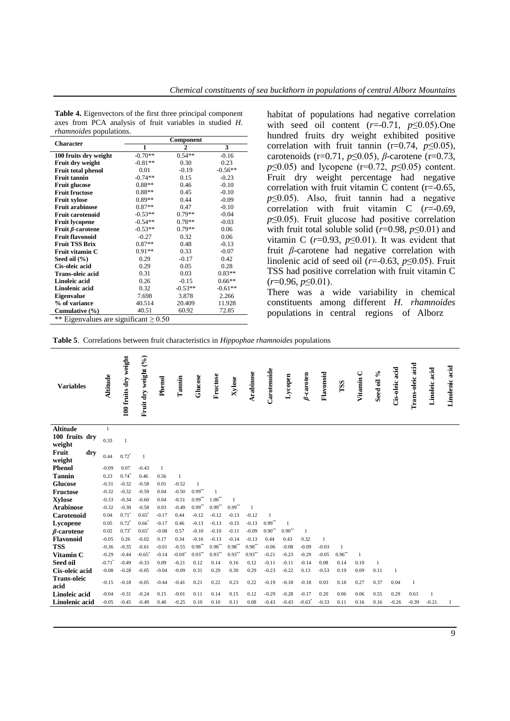| <b>Character</b>          |           | Component      |           |
|---------------------------|-----------|----------------|-----------|
|                           | 1         | $\overline{2}$ | 3         |
| 100 fruits dry weight     | $-0.70**$ | $0.54**$       | $-0.16$   |
| Fruit dry weight          | $-0.81**$ | 0.30           | 0.23      |
| <b>Fruit total phenol</b> | 0.01      | $-0.19$        | $-0.56**$ |
| <b>Fruit tannin</b>       | $-0.74**$ | 0.15           | $-0.23$   |
| <b>Fruit glucose</b>      | $0.88**$  | 0.46           | $-0.10$   |
| <b>Fruit fructose</b>     | $0.88**$  | 0.45           | $-0.10$   |
| <b>Fruit xylose</b>       | $0.89**$  | 0.44           | $-0.09$   |
| <b>Fruit arabinose</b>    | $0.87**$  | 0.47           | $-0.10$   |
| <b>Fruit carotenoid</b>   | $-0.53**$ | $0.79**$       | $-0.04$   |
| <b>Fruit lycopene</b>     | $-0.54**$ | $0.78**$       | $-0.03$   |
| Fruit $\beta$ -carotene   | $-0.53**$ | $0.79**$       | 0.06      |
| <b>Fruit flavonoid</b>    | $-0.27$   | 0.32           | 0.06      |
| <b>Fruit TSS Brix</b>     | $0.87**$  | 0.48           | $-0.13$   |
| Fruit vitamin C           | $0.91**$  | 0.33           | $-0.07$   |
| Seed oil $(\% )$          | 0.29      | $-0.17$        | 0.42      |
| Cis-oleic acid            | 0.29      | 0.05           | 0.28      |
| <b>Trans-oleic acid</b>   | 0.31      | 0.03           | $0.83**$  |
| Linoleic acid             | 0.26      | $-0.15$        | $0.66**$  |
| Linolenic acid            | 0.32      | $-0.53**$      | $-0.61**$ |
| <b>Eigenvalue</b>         | 7.698     | 3.878          | 2.266     |
| % of variance             | 40.514    | 20.409         | 11.928    |
| Cumulative $(\% )$        | 40.51     | 60.92          | 72.85     |

**Table 4.** Eigenvectors of the first three principal component axes from PCA analysis of fruit variables in studied *H*. *rhamnoides* populations.

\*\* Eigenvalues are significant  $\geq 0.50$ 

habitat of populations had negative correlation with seed oil content  $(r=0.71, p\leq 0.05)$ . One hundred fruits dry weight exhibited positive correlation with fruit tannin  $(r=0.74, p\leq 0.05)$ , carotenoids (r=0.71, *p*≤0.05), *β*-carotene (r=0.73, *p*≤0.05) and lycopene (r=0.72, *p*≤0.05) content. Fruit dry weight percentage had negative correlation with fruit vitamin C content (r=-0.65, *p*≤0.05). Also, fruit tannin had a negative correlation with fruit vitamin C (*r*=-0.69, *p*≤0.05). Fruit glucose had positive correlation with fruit total soluble solid ( $r=0.98$ ,  $p\leq 0.01$ ) and vitamin C  $(r=0.93, p\leq 0.01)$ . It was evident that fruit *β*-carotene had negative correlation with linolenic acid of seed oil  $(r=0.63, p\leq 0.05)$ . Fruit TSS had positive correlation with fruit vitamin C (*r*=0.96, *p*≤0.01).

There was a wide variability in chemical constituents among different *H. rhamnoides* populations in central regions of Alborz

**Table 5**. Correlations between fruit characteristics in *Hippophae rhamnoides* populations

| <b>Variables</b>               | Altitude           | 100 fruits dry weight | Fruit dry weight (%) | Phenol          | Tannin               | Glucose              | Fructose             | Xylose          | Arabinose            | Carotenoide          | Lycopen         | $\beta$ -caroten     | Flavonoid               | TSS                         | Vitamin C    | $\mathcal{S}_{\mathbf{0}}$<br>Seed oil | Cis-oleic acid | Trans-oleic acid | Linoleic acid | Linolenic acid |
|--------------------------------|--------------------|-----------------------|----------------------|-----------------|----------------------|----------------------|----------------------|-----------------|----------------------|----------------------|-----------------|----------------------|-------------------------|-----------------------------|--------------|----------------------------------------|----------------|------------------|---------------|----------------|
| <b>Altitude</b>                | $\mathbf{1}$       |                       |                      |                 |                      |                      |                      |                 |                      |                      |                 |                      |                         |                             |              |                                        |                |                  |               |                |
| 100 fruits dry<br>weight       | 0.33               | $\mathbf{1}$          |                      |                 |                      |                      |                      |                 |                      |                      |                 |                      |                         |                             |              |                                        |                |                  |               |                |
| Fruit<br>dry<br>weight         | 0.44               | $0.72^{\degree}$      | $\mathbf{1}$         |                 |                      |                      |                      |                 |                      |                      |                 |                      |                         |                             |              |                                        |                |                  |               |                |
| <b>Phenol</b>                  | $-0.09$            | 0.07                  | $-0.43$              | $\mathbf{1}$    |                      |                      |                      |                 |                      |                      |                 |                      |                         |                             |              |                                        |                |                  |               |                |
| <b>Tannin</b>                  | 0.23               | $0.74$ <sup>*</sup>   | 0.46                 | 0.56            | $\mathbf{1}$         |                      |                      |                 |                      |                      |                 |                      |                         |                             |              |                                        |                |                  |               |                |
| <b>Glucose</b>                 | $-0.31$            | $-0.32$               | $-0.58$              | 0.01            | $-0.52$              |                      |                      |                 |                      |                      |                 |                      |                         |                             |              |                                        |                |                  |               |                |
| <b>Fructose</b>                | $-0.32$            | $-0.32$               | $-0.59$              | 0.04            | $-0.50$              | $0.99$ **            |                      |                 |                      |                      |                 |                      |                         |                             |              |                                        |                |                  |               |                |
| <b>Xylose</b>                  | $-0.33$            | $-0.34$               | $-0.60$              | 0.04            | $-0.51$              | $0.99***$            | $1.00**$             | 1               |                      |                      |                 |                      |                         |                             |              |                                        |                |                  |               |                |
| <b>Arabinose</b>               | $-0.32$            | $-0.30$               | $-0.58$              | 0.03            | $-0.49$              | $0.99***$            | $0.99***$            | $0.99***$       | $\mathbf{1}$         |                      |                 |                      |                         |                             |              |                                        |                |                  |               |                |
| Carotenoid                     | 0.04               | $0.71^{\degree}$      | $0.65^{\degree}$     | $-0.17$         | 0.44                 | $-0.12$              | $-0.12$              | $-0.13$         | $-0.12$              | $\mathbf{1}$         |                 |                      |                         |                             |              |                                        |                |                  |               |                |
| Lycopene                       | 0.05               | $0.72^{\circ}$        | $0.66^{\circ}$       | $-0.17$         | 0.46                 | $-0.13$              | $-0.13$              | $-0.15$         | $-0.13$              | $0.99$ <sup>**</sup> | $\mathbf{1}$    |                      |                         |                             |              |                                        |                |                  |               |                |
| $\beta$ -carotene              | 0.02               | $0.73^{\circ}$        | $0.65^{\degree}$     | $-0.08$         | 0.57                 | $-0.10$              | $-0.10$              | $-0.11$         | $-0.09$              | $0.90^{\circ\circ}$  | $0.90^{\circ}$  | 1                    |                         |                             |              |                                        |                |                  |               |                |
| <b>Flavonoid</b><br><b>TSS</b> | $-0.05$<br>$-0.36$ | 0.26<br>$-0.35$       | $-0.02$<br>$-0.61$   | 0.17<br>$-0.01$ | 0.34<br>$-0.55$      | $-0.16$<br>$0.98$ ** | $-0.13$<br>$0.98***$ | $-0.14$<br>0.98 | $-0.13$<br>0.98      | 0.44<br>$-0.06$      | 0.43<br>$-0.08$ | 0.32<br>$-0.09$      | $\mathbf{1}$<br>$-0.03$ |                             |              |                                        |                |                  |               |                |
| Vitamin C                      | $-0.29$            | $-0.44$               | $-0.65$              | $-0.14$         | $-0.69$ <sup>*</sup> | $0.93***$            | $0.93***$            | $0.93***$       | $0.93$ <sup>**</sup> | $-0.21$              | $-0.23$         | $-0.29$              | $-0.05$                 | $\mathbf{1}$<br>$0.96^{**}$ | $\mathbf{1}$ |                                        |                |                  |               |                |
| Seed oil                       | $-0.71$            | $-0.49$               | $-0.33$              | 0.09            | $-0.21$              | 0.12                 | 0.14                 | 0.16            | 0.12                 | $-0.11$              | $-0.11$         | $-0.14$              | 0.08                    | 0.14                        | 0.10         | 1                                      |                |                  |               |                |
| Cis-oleic acid                 | $-0.08$            | $-0.28$               | $-0.05$              | $-0.04$         | $-0.09$              | 0.31                 | 0.29                 | 0.30            | 0.29                 | $-0.23$              | $-0.22$         | 0.13                 | $-0.53$                 | 0.19                        | 0.09         | 0.11                                   | 1              |                  |               |                |
| <b>Trans-oleic</b>             |                    |                       |                      |                 |                      |                      |                      |                 |                      |                      |                 |                      |                         |                             |              |                                        |                |                  |               |                |
| acid                           | $-0.15$            | $-0.18$               | $-0.05$              | $-0.44$         | $-0.41$              | 0.21                 | 0.22                 | 0.23            | 0.22                 | $-0.19$              | $-0.18$         | $-0.18$              | 0.03                    | 0.18                        | 0.27         | 0.37                                   | 0.04           | $\mathbf{1}$     |               |                |
| Linoleic acid                  | $-0.04$            | $-0.31$               | $-0.24$              | 0.15            | $-0.01$              | 0.11                 | 0.14                 | 0.15            | 0.12                 | $-0.29$              | $-0.28$         | $-0.17$              | 0.20                    | 0.06                        | 0.06         | 0.55                                   | 0.29           | 0.63             | $\mathbf{1}$  |                |
| Linolenic acid                 | $-0.05$            | $-0.45$               | $-0.49$              | 0.40            | $-0.25$              | 0.10                 | 0.10                 | 0.11            | 0.08                 | $-0.43$              | $-0.43$         | $-0.63$ <sup>*</sup> | $-0.33$                 | 0.11                        | 0.16         | 0.16                                   | $-0.26$        | $-0.39$          | $-0.21$       |                |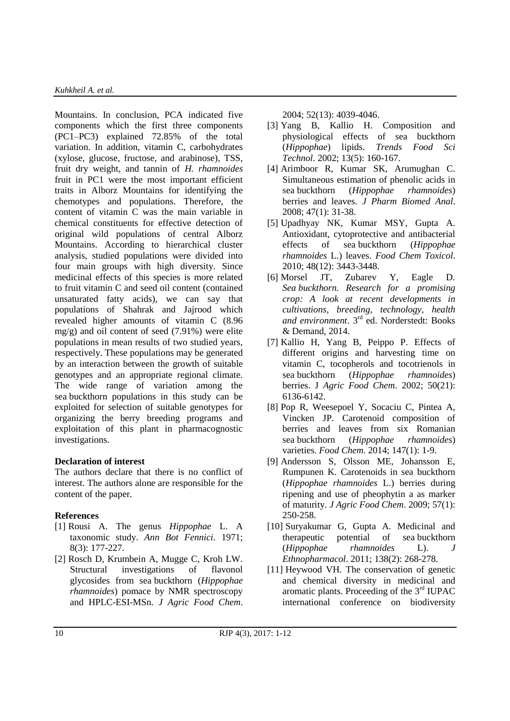Mountains. In conclusion, PCA indicated five components which the first three components (PC1–PC3) explained 72.85% of the total variation. In addition, vitamin C, carbohydrates (xylose, glucose, fructose, and arabinose), TSS, fruit dry weight, and tannin of *H. rhamnoides* fruit in PC1 were the most important efficient traits in Alborz Mountains for identifying the chemotypes and populations. Therefore, the content of vitamin C was the main variable in chemical constituents for effective detection of original wild populations of central Alborz Mountains. According to hierarchical cluster analysis, studied populations were divided into four main groups with high diversity. Since medicinal effects of this species is more related to fruit vitamin C and seed oil content (contained unsaturated fatty acids), we can say that populations of Shahrak and Jajrood which revealed higher amounts of vitamin C (8.96 mg/g) and oil content of seed (7.91%) were elite populations in mean results of two studied years, respectively. These populations may be generated by an interaction between the growth of suitable genotypes and an appropriate regional climate. The wide range of variation among the sea buckthorn populations in this study can be exploited for selection of suitable genotypes for organizing the berry breeding programs and exploitation of this plant in pharmacognostic investigations.

# **Declaration of interest**

The authors declare that there is no conflict of interest. The authors alone are responsible for the content of the paper.

# **References**

- [1] Rousi A. [The genus](https://www.jstor.org/stable/23724624?seq=1#page_scan_tab_contents) *Hippophae* L. A [taxonomic study.](https://www.jstor.org/stable/23724624?seq=1#page_scan_tab_contents) *Ann Bot Fennici*. 1971; [8\(3\): 177-227.](https://www.jstor.org/stable/23724624?seq=1#page_scan_tab_contents)
- [2] Rosch D, Krumbein A, Mugge C, Kroh LW. [Structural investigations of flavonol](http://pubs.acs.org/doi/abs/10.1021/jf0306791)  [glycosides from sea](http://pubs.acs.org/doi/abs/10.1021/jf0306791) buckthorn (*Hippophae rhamnoides*[\) pomace by NMR spectroscopy](http://pubs.acs.org/doi/abs/10.1021/jf0306791)  [and HPLC-ESI-MSn.](http://pubs.acs.org/doi/abs/10.1021/jf0306791) *J Agric Food Chem*.

[2004; 52\(13\): 4039-4046.](http://pubs.acs.org/doi/abs/10.1021/jf0306791)

- [3] Yang B, Kallio H. Composition and physiological effects of sea buckthorn (*Hippophae*) lipids. *Trends Food Sci Technol*. 2002; 13(5): 160-167.
- [4] Arimboor R, Kumar SK, Arumughan C. Simultaneous estimation of phenolic acids in sea buckthorn (*Hippophae rhamnoides*) berries and leaves. *J Pharm Biomed Anal*. 2008; 47(1): 31-38.
- [5] Upadhyay NK, Kumar MSY, Gupta A. Antioxidant, cytoprotective and antibacterial effects of sea buckthorn (*Hippophae rhamnoides* L.) leaves. *Food Chem Toxicol*. 2010; 48(12): 3443-3448.
- [6] Morsel JT, Zubarev Y, Eagle D. *Sea [buckthorn. Research for a promising](https://www.amazon.com/Seabuckthorn-Research-promising-crop-developments-ebook/dp/B00KCM1YVK)  [crop: A look at recent developments in](https://www.amazon.com/Seabuckthorn-Research-promising-crop-developments-ebook/dp/B00KCM1YVK)  [cultivations, breeding, technology, health](https://www.amazon.com/Seabuckthorn-Research-promising-crop-developments-ebook/dp/B00KCM1YVK)  and environment*. 3rd [ed. Norderstedt: Books](https://www.amazon.com/Seabuckthorn-Research-promising-crop-developments-ebook/dp/B00KCM1YVK)  [& Demand, 2014.](https://www.amazon.com/Seabuckthorn-Research-promising-crop-developments-ebook/dp/B00KCM1YVK)
- [7] Kallio H, Yang B, Peippo P. [Effects of](http://pubs.acs.org/doi/abs/10.1021/jf020421v)  [different origins and harvesting time on](http://pubs.acs.org/doi/abs/10.1021/jf020421v)  [vitamin C, tocopherols and tocotrienols in](http://pubs.acs.org/doi/abs/10.1021/jf020421v)  sea buckthorn (*[Hippophae rhamnoides](http://pubs.acs.org/doi/abs/10.1021/jf020421v)*) berries. J *[Agric Food Chem](http://pubs.acs.org/doi/abs/10.1021/jf020421v)*. 2002; 50(21): [6136-6142.](http://pubs.acs.org/doi/abs/10.1021/jf020421v)
- [8] Pop R, Weesepoel Y, Socaciu C, Pintea A, Vincken JP. Carotenoid composition of berries and leaves from six Romanian sea buckthorn (*Hippophae rhamnoides*) varieties. *Food Chem*. 2014; 147(1): 1-9.
- [9] Andersson S, Olsson ME, Johansson E, Rumpunen K. [Carotenoids in sea buckthorn](http://pubs.acs.org/doi/abs/10.1021/jf802599f)  (*[Hippophae rhamnoides](http://pubs.acs.org/doi/abs/10.1021/jf802599f)* L.) berries during [ripening and use of pheophytin a as marker](http://pubs.acs.org/doi/abs/10.1021/jf802599f)  of maturity. *[J Agric Food Chem](http://pubs.acs.org/doi/abs/10.1021/jf802599f)*. 2009; 57(1): [250-258.](http://pubs.acs.org/doi/abs/10.1021/jf802599f)
- [10] Suryakumar G, Gupta A. Medicinal and therapeutic potential of sea buckthorn (*Hippophae rhamnoides* L). *J Ethnopharmacol*. 2011; 138(2): 268-278.
- [11] Heywood VH. [The conservation of genetic](http://link.springer.com/chapter/10.1007%2F978-1-4419-9242-0_2)  [and chemical diversity in medicinal and](http://link.springer.com/chapter/10.1007%2F978-1-4419-9242-0_2)  aromatic plants. Proceeding of the  $3<sup>rd</sup> IUPAC$ [international conference on biodiversity](http://link.springer.com/chapter/10.1007%2F978-1-4419-9242-0_2)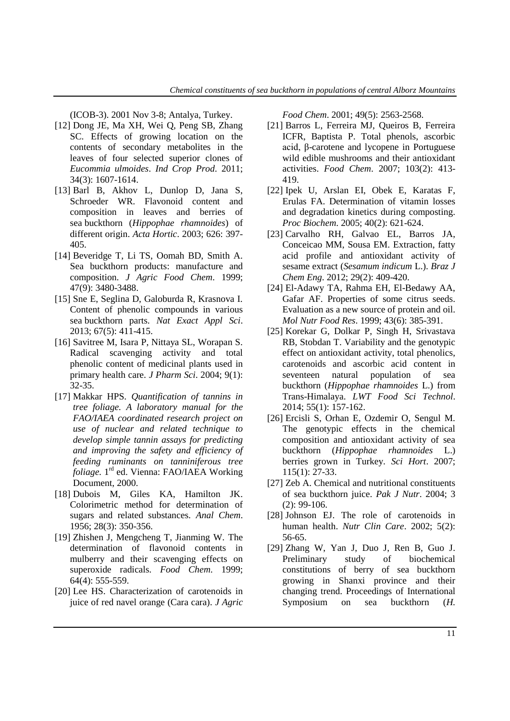[\(ICOB-3\). 2001 Nov 3-8; Antalya, Turkey.](http://link.springer.com/chapter/10.1007%2F978-1-4419-9242-0_2)

- [12] Dong JE, Ma XH, Wei Q, Peng SB, Zhang SC. Effects of growing location on the contents of secondary metabolites in the leaves of four selected superior clones of *Eucommia ulmoides*. *Ind Crop Prod*. 2011; 34(3): 1607-1614.
- [13] Barl B, Akhov L, Dunlop D, Jana S, Schroeder WR. [Flavonoid content and](http://www.actahort.org/books/626/626_55.htm)  [composition in leaves and berries of](http://www.actahort.org/books/626/626_55.htm)  sea buckthorn (*[Hippophae rhamnoides](http://www.actahort.org/books/626/626_55.htm)*) of different origin. *Acta Hortic*[. 2003; 626: 397-](http://www.actahort.org/books/626/626_55.htm) [405.](http://www.actahort.org/books/626/626_55.htm)
- [14] Beveridge T, Li TS, Oomah BD, Smith A. [Sea buckthorn products: manufacture and](http://www.ncbi.nlm.nih.gov/pubmed/10552673)  composition. *[J Agric Food Chem](http://www.ncbi.nlm.nih.gov/pubmed/10552673)*. 1999; [47\(9\): 3480-3488.](http://www.ncbi.nlm.nih.gov/pubmed/10552673)
- [15] Sne E, Seglina D, Galoburda R, Krasnova I. [Content of phenolic compounds in various](http://www.degruyter.com/view/j/prolas.2013.67.issue-4-5/prolas-2013-0073/prolas-2013-0073.xml)  sea buckthorn parts. *[Nat Exact Appl Sci](http://www.degruyter.com/view/j/prolas.2013.67.issue-4-5/prolas-2013-0073/prolas-2013-0073.xml)*. [2013; 67\(5\): 411-415.](http://www.degruyter.com/view/j/prolas.2013.67.issue-4-5/prolas-2013-0073/prolas-2013-0073.xml)
- [16] Savitree M, Isara P, Nittaya SL, Worapan S. [Radical scavenging activity and total](https://www.researchgate.net/publication/228512535_Radical_Scavenging_Activity_and_Total_Phenolic_Content_of_Medicinal_Plants_Used_in_Primary_Health_Care)  [phenolic content of medicinal plants used in](https://www.researchgate.net/publication/228512535_Radical_Scavenging_Activity_and_Total_Phenolic_Content_of_Medicinal_Plants_Used_in_Primary_Health_Care)  [primary health care.](https://www.researchgate.net/publication/228512535_Radical_Scavenging_Activity_and_Total_Phenolic_Content_of_Medicinal_Plants_Used_in_Primary_Health_Care) *J Pharm Sci*. 2004; 9(1): [32-35.](https://www.researchgate.net/publication/228512535_Radical_Scavenging_Activity_and_Total_Phenolic_Content_of_Medicinal_Plants_Used_in_Primary_Health_Care)
- [17] Makkar HPS. *[Quantification of tannins in](https://www.google.com/url?sa=t&rct=j&q=&esrc=s&source=web&cd=1&ved=0ahUKEwjIjaWglavPAhUBnBoKHcK3BJEQFggbMAA&url=http%3A%2F%2Fwww-naweb.iaea.org%2Fnafa%2Faph%2Fpublic%2Fpubd31022manual-tannin.pdf&usg=AFQjCNHSlp4eHVMa7tcKyj-SriayoKr1_w&cad=rja)  [tree foliage. A laboratory manual for the](https://www.google.com/url?sa=t&rct=j&q=&esrc=s&source=web&cd=1&ved=0ahUKEwjIjaWglavPAhUBnBoKHcK3BJEQFggbMAA&url=http%3A%2F%2Fwww-naweb.iaea.org%2Fnafa%2Faph%2Fpublic%2Fpubd31022manual-tannin.pdf&usg=AFQjCNHSlp4eHVMa7tcKyj-SriayoKr1_w&cad=rja)  [FAO/IAEA coordinated research project on](https://www.google.com/url?sa=t&rct=j&q=&esrc=s&source=web&cd=1&ved=0ahUKEwjIjaWglavPAhUBnBoKHcK3BJEQFggbMAA&url=http%3A%2F%2Fwww-naweb.iaea.org%2Fnafa%2Faph%2Fpublic%2Fpubd31022manual-tannin.pdf&usg=AFQjCNHSlp4eHVMa7tcKyj-SriayoKr1_w&cad=rja)  [use of nuclear and related technique to](https://www.google.com/url?sa=t&rct=j&q=&esrc=s&source=web&cd=1&ved=0ahUKEwjIjaWglavPAhUBnBoKHcK3BJEQFggbMAA&url=http%3A%2F%2Fwww-naweb.iaea.org%2Fnafa%2Faph%2Fpublic%2Fpubd31022manual-tannin.pdf&usg=AFQjCNHSlp4eHVMa7tcKyj-SriayoKr1_w&cad=rja)  [develop simple tannin assays for predicting](https://www.google.com/url?sa=t&rct=j&q=&esrc=s&source=web&cd=1&ved=0ahUKEwjIjaWglavPAhUBnBoKHcK3BJEQFggbMAA&url=http%3A%2F%2Fwww-naweb.iaea.org%2Fnafa%2Faph%2Fpublic%2Fpubd31022manual-tannin.pdf&usg=AFQjCNHSlp4eHVMa7tcKyj-SriayoKr1_w&cad=rja)  [and improving the safety and efficiency of](https://www.google.com/url?sa=t&rct=j&q=&esrc=s&source=web&cd=1&ved=0ahUKEwjIjaWglavPAhUBnBoKHcK3BJEQFggbMAA&url=http%3A%2F%2Fwww-naweb.iaea.org%2Fnafa%2Faph%2Fpublic%2Fpubd31022manual-tannin.pdf&usg=AFQjCNHSlp4eHVMa7tcKyj-SriayoKr1_w&cad=rja)  [feeding ruminants on tanniniferous tree](https://www.google.com/url?sa=t&rct=j&q=&esrc=s&source=web&cd=1&ved=0ahUKEwjIjaWglavPAhUBnBoKHcK3BJEQFggbMAA&url=http%3A%2F%2Fwww-naweb.iaea.org%2Fnafa%2Faph%2Fpublic%2Fpubd31022manual-tannin.pdf&usg=AFQjCNHSlp4eHVMa7tcKyj-SriayoKr1_w&cad=rja)  foliage.* 1 rd [ed. Vienna: FAO/IAEA Working](https://www.google.com/url?sa=t&rct=j&q=&esrc=s&source=web&cd=1&ved=0ahUKEwjIjaWglavPAhUBnBoKHcK3BJEQFggbMAA&url=http%3A%2F%2Fwww-naweb.iaea.org%2Fnafa%2Faph%2Fpublic%2Fpubd31022manual-tannin.pdf&usg=AFQjCNHSlp4eHVMa7tcKyj-SriayoKr1_w&cad=rja)  [Document, 2000.](https://www.google.com/url?sa=t&rct=j&q=&esrc=s&source=web&cd=1&ved=0ahUKEwjIjaWglavPAhUBnBoKHcK3BJEQFggbMAA&url=http%3A%2F%2Fwww-naweb.iaea.org%2Fnafa%2Faph%2Fpublic%2Fpubd31022manual-tannin.pdf&usg=AFQjCNHSlp4eHVMa7tcKyj-SriayoKr1_w&cad=rja)
- [18] Dubois M, Giles KA, Hamilton JK. Colorimetric method for determination of sugars and related substances. *Anal Chem*. 1956; 28(3): 350-356.
- [19] Zhishen J, Mengcheng T, Jianming W. The determination of flavonoid contents in mulberry and their scavenging effects on superoxide radicals. *Food Chem*. 1999; 64(4): 555-559.
- [20] Lee HS. Characterization of carotenoids in juice of red navel orange (Cara cara). *J Agric*

*Food Chem*. 2001; 49(5): 2563-2568.

- [21] Barros L, Ferreira MJ, Queiros B, Ferreira ICFR, Baptista P. Total phenols, ascorbic acid, β-carotene and lycopene in Portuguese wild edible mushrooms and their antioxidant activities. *Food Chem*. 2007; 103(2): 413- 419.
- [22] Ipek U, Arslan EI, Obek E, Karatas F, Erulas FA. Determination of vitamin losses and degradation kinetics during composting. *Proc Biochem*. 2005; 40(2): 621-624.
- [23] Carvalho RH, Galvao EL, Barros JA, Conceicao MM, Sousa EM. Extraction, fatty acid profile and antioxidant activity of sesame extract (*Sesamum indicum* L.). *Braz J Chem Eng*. 2012; 29(2): 409-420.
- [24] El-Adawy TA, Rahma EH, El-Bedawy AA, Gafar AF. [Properties of some citrus seeds.](http://onlinelibrary.wiley.com/doi/10.1002/(SICI)1521-3803(19991201)43:6%3C385::AID-FOOD385%3E3.0.CO;2-V/abstract)  [Evaluation as a new source of protein and oil.](http://onlinelibrary.wiley.com/doi/10.1002/(SICI)1521-3803(19991201)43:6%3C385::AID-FOOD385%3E3.0.CO;2-V/abstract)  *[Mol Nutr Food Res](http://onlinelibrary.wiley.com/doi/10.1002/(SICI)1521-3803(19991201)43:6%3C385::AID-FOOD385%3E3.0.CO;2-V/abstract)*. 1999; 43(6): 385-391.
- [25] Korekar G, Dolkar P, Singh H, Srivastava RB, Stobdan T. Variability and the genotypic effect on antioxidant activity, total phenolics, carotenoids and ascorbic acid content in seventeen natural population of sea buckthorn (*Hippophae rhamnoides* L.) from Trans-Himalaya. *LWT Food Sci Technol*. 2014; 55(1): 157-162.
- [26] Ercisli S, Orhan E, Ozdemir O, Sengul M. The genotypic effects in the chemical composition and antioxidant activity of sea buckthorn (*Hippophae rhamnoides* L.) berries grown in Turkey. *Sci Hort*. 2007; 115(1): 27-33.
- [27] Zeb A. Chemical and nutritional constituents of sea buckthorn juice. *Pak J Nutr*. 2004; 3 (2): 99-106.
- [28] Johnson EJ. The role of carotenoids in human health. *Nutr Clin Care*. 2002; 5(2): 56-65.
- [29] Zhang W, Yan J, Duo J, Ren B, Guo J. Preliminary study of biochemical constitutions of berry of sea buckthorn growing in Shanxi province and their changing trend. Proceedings of International Symposium on sea buckthorn (*H.*